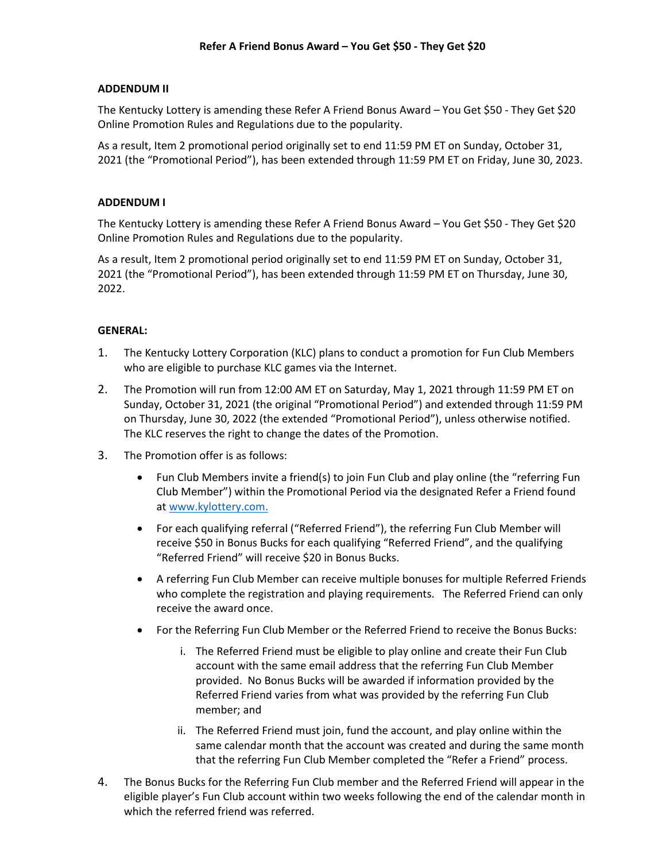## **ADDENDUM II**

The Kentucky Lottery is amending these Refer A Friend Bonus Award – You Get \$50 - They Get \$20 Online Promotion Rules and Regulations due to the popularity.

As a result, Item 2 promotional period originally set to end 11:59 PM ET on Sunday, October 31, 2021 (the "Promotional Period"), has been extended through 11:59 PM ET on Friday, June 30, 2023.

## **ADDENDUM I**

The Kentucky Lottery is amending these Refer A Friend Bonus Award – You Get \$50 - They Get \$20 Online Promotion Rules and Regulations due to the popularity.

As a result, Item 2 promotional period originally set to end 11:59 PM ET on Sunday, October 31, 2021 (the "Promotional Period"), has been extended through 11:59 PM ET on Thursday, June 30, 2022.

## **GENERAL:**

- 1. The Kentucky Lottery Corporation (KLC) plans to conduct a promotion for Fun Club Members who are eligible to purchase KLC games via the Internet.
- 2. The Promotion will run from 12:00 AM ET on Saturday, May 1, 2021 through 11:59 PM ET on Sunday, October 31, 2021 (the original "Promotional Period") and extended through 11:59 PM on Thursday, June 30, 2022 (the extended "Promotional Period"), unless otherwise notified. The KLC reserves the right to change the dates of the Promotion.
- 3. The Promotion offer is as follows:
	- Fun Club Members invite a friend(s) to join Fun Club and play online (the "referring Fun Club Member") within the Promotional Period via the designated Refer a Friend found at [www.kylottery.com.](http://www.kylottery.com/)
	- For each qualifying referral ("Referred Friend"), the referring Fun Club Member will receive \$50 in Bonus Bucks for each qualifying "Referred Friend", and the qualifying "Referred Friend" will receive \$20 in Bonus Bucks.
	- A referring Fun Club Member can receive multiple bonuses for multiple Referred Friends who complete the registration and playing requirements. The Referred Friend can only receive the award once.
	- For the Referring Fun Club Member or the Referred Friend to receive the Bonus Bucks:
		- i. The Referred Friend must be eligible to play online and create their Fun Club account with the same email address that the referring Fun Club Member provided. No Bonus Bucks will be awarded if information provided by the Referred Friend varies from what was provided by the referring Fun Club member; and
		- ii. The Referred Friend must join, fund the account, and play online within the same calendar month that the account was created and during the same month that the referring Fun Club Member completed the "Refer a Friend" process.
- 4. The Bonus Bucks for the Referring Fun Club member and the Referred Friend will appear in the eligible player's Fun Club account within two weeks following the end of the calendar month in which the referred friend was referred.